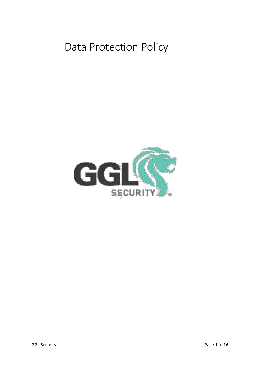# Data Protection Policy

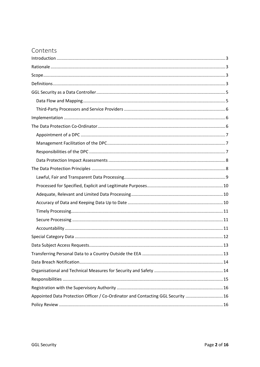# Contents

| Appointed Data Protection Officer / Co-Ordinator and Contacting GGL Security  16 |
|----------------------------------------------------------------------------------|
|                                                                                  |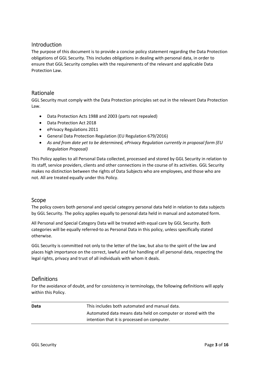## <span id="page-2-0"></span>Introduction

The purpose of this document is to provide a concise policy statement regarding the Data Protection obligations of GGL Security. This includes obligations in dealing with personal data, in order to ensure that GGL Security complies with the requirements of the relevant and applicable Data Protection Law.

## <span id="page-2-1"></span>Rationale

GGL Security must comply with the Data Protection principles set out in the relevant Data Protection Law.

- Data Protection Acts 1988 and 2003 (parts not repealed)
- Data Protection Act 2018
- ePrivacy Regulations 2011
- General Data Protection Regulation (EU Regulation 679/2016)
- *As and from date yet to be determined, ePrivacy Regulation currently in proposal form (EU Regulation Proposal)*

This Policy applies to all Personal Data collected, processed and stored by GGL Security in relation to its staff, service providers, clients and other connections in the course of its activities. GGL Security makes no distinction between the rights of Data Subjects who are employees, and those who are not. All are treated equally under this Policy.

## <span id="page-2-2"></span>Scope

The policy covers both personal and special category personal data held in relation to data subjects by GGL Security. The policy applies equally to personal data held in manual and automated form.

All Personal and Special Category Data will be treated with equal care by GGL Security. Both categories will be equally referred-to as Personal Data in this policy, unless specifically stated otherwise.

GGL Security is committed not only to the letter of the law, but also to the spirit of the law and places high importance on the correct, lawful and fair handling of all personal data, respecting the legal rights, privacy and trust of all individuals with whom it deals.

## <span id="page-2-3"></span>Definitions

For the avoidance of doubt, and for consistency in terminology, the following definitions will apply within this Policy.

| Data | This includes both automated and manual data.                 |
|------|---------------------------------------------------------------|
|      | Automated data means data held on computer or stored with the |
|      | intention that it is processed on computer.                   |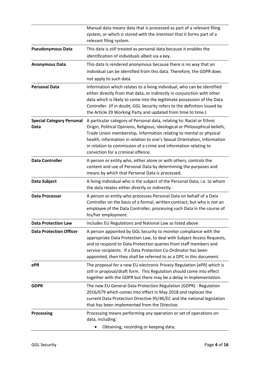|                                                 | Manual data means data that is processed as part of a relevant filing<br>system, or which is stored with the intention that it forms part of a<br>relevant filing system.                                                                                                                                                                                                                                         |
|-------------------------------------------------|-------------------------------------------------------------------------------------------------------------------------------------------------------------------------------------------------------------------------------------------------------------------------------------------------------------------------------------------------------------------------------------------------------------------|
| <b>Pseudonymous Data</b>                        | This data is still treated as personal data because it enables the<br>identification of individuals albeit via a key.                                                                                                                                                                                                                                                                                             |
| <b>Anonymous Data</b>                           | This data Is rendered anonymous because there is no way that an<br>individual can be identified from this data. Therefore, the GDPR does<br>not apply to such data.                                                                                                                                                                                                                                               |
| <b>Personal Data</b>                            | Information which relates to a living individual, who can be identified<br>either directly from that data, or indirectly in conjunction with other<br>data which is likely to come into the legitimate possession of the Data<br>Controller. (If in doubt, GGL Security refers to the definition issued by<br>the Article 29 Working Party and updated from time to time.)                                        |
| <b>Special Category Personal</b><br><b>Data</b> | A particular category of Personal data, relating to: Racial or Ethnic<br>Origin, Political Opinions, Religious, Ideological or Philosophical beliefs,<br>Trade Union membership, Information relating to mental or physical<br>health, information in relation to one's Sexual Orientation, information<br>in relation to commission of a crime and information relating to<br>conviction for a criminal offence. |
| <b>Data Controller</b>                          | A person or entity who, either alone or with others, controls the<br>content and use of Personal Data by determining the purposes and<br>means by which that Personal Data is processed.                                                                                                                                                                                                                          |
| Data Subject                                    | A living individual who is the subject of the Personal Data, i.e. to whom<br>the data relates either directly or indirectly.                                                                                                                                                                                                                                                                                      |
| <b>Data Processor</b>                           | A person or entity who processes Personal Data on behalf of a Data<br>Controller on the basis of a formal, written contract, but who is not an<br>employee of the Data Controller, processing such Data in the course of<br>his/her employment.                                                                                                                                                                   |
| <b>Data Protection Law</b>                      | Includes EU Regulations and National Law as listed above                                                                                                                                                                                                                                                                                                                                                          |
| <b>Data Protection Officer</b>                  | A person appointed by GGL Security to monitor compliance with the<br>appropriate Data Protection Law, to deal with Subject Access Requests,<br>and to respond to Data Protection queries from staff members and<br>service recipients. If a Data Protection Co-Ordinator has been<br>appointed, then they shall be referred to as a DPC in this document.                                                         |
| ePR                                             | The proposal for a new EU electronic Privacy Regulation (ePR) which is<br>still in proposal/draft form. This Regulation should come into effect<br>together with the GDPR but there may be a delay in implementation.                                                                                                                                                                                             |
| <b>GDPR</b>                                     | The new EU General Data Protection Regulation (GDPR) - Regulation<br>2016/679 which comes into effect in May 2018 and replaces the<br>current Data Protection Directive 95/46/EC and the national legislation<br>that has been implemented from the Directive.                                                                                                                                                    |
| <b>Processing</b>                               | Processing means performing any operation or set of operations on<br>data, including:<br>Obtaining, recording or keeping data;                                                                                                                                                                                                                                                                                    |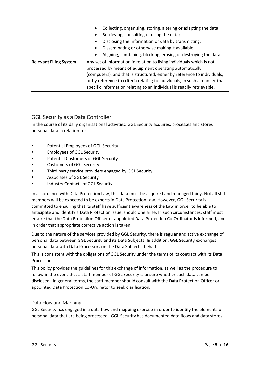|                               | Collecting, organising, storing, altering or adapting the data;<br>$\bullet$                                                                                                                                                                                                                                                                                         |
|-------------------------------|----------------------------------------------------------------------------------------------------------------------------------------------------------------------------------------------------------------------------------------------------------------------------------------------------------------------------------------------------------------------|
|                               | Retrieving, consulting or using the data;<br>$\bullet$                                                                                                                                                                                                                                                                                                               |
|                               | Disclosing the information or data by transmitting;<br>$\bullet$                                                                                                                                                                                                                                                                                                     |
|                               | Disseminating or otherwise making it available;<br>$\bullet$                                                                                                                                                                                                                                                                                                         |
|                               | Aligning, combining, blocking, erasing or destroying the data.<br>$\bullet$                                                                                                                                                                                                                                                                                          |
| <b>Relevant Filing System</b> | Any set of information in relation to living individuals which is not<br>processed by means of equipment operating automatically<br>(computers), and that is structured, either by reference to individuals,<br>or by reference to criteria relating to individuals, in such a manner that<br>specific information relating to an individual is readily retrievable. |

## <span id="page-4-0"></span>GGL Security as a Data Controller

In the course of its daily organisational activities, GGL Security acquires, processes and stores personal data in relation to:

- Potential Employees of GGL Security
- **Employees of GGL Security**
- Potential Customers of GGL Security
- Customers of GGL Security
- Third party service providers engaged by GGL Security
- Associates of GGL Security
- Industry Contacts of GGL Security

In accordance with Data Protection Law, this data must be acquired and managed fairly. Not all staff members will be expected to be experts in Data Protection Law. However, GGL Security is committed to ensuring that its staff have sufficient awareness of the Law in order to be able to anticipate and identify a Data Protection issue, should one arise. In such circumstances, staff must ensure that the Data Protection Officer or appointed Data Protection Co-Ordinator is informed, and in order that appropriate corrective action is taken.

Due to the nature of the services provided by GGL Security, there is regular and active exchange of personal data between GGL Security and its Data Subjects. In addition, GGL Security exchanges personal data with Data Processors on the Data Subjects' behalf.

This is consistent with the obligations of GGL Security under the terms of its contract with its Data Processors.

This policy provides the guidelines for this exchange of information, as well as the procedure to follow in the event that a staff member of GGL Security is unsure whether such data can be disclosed. In general terms, the staff member should consult with the Data Protection Officer or appointed Data Protection Co-Ordinator to seek clarification.

#### <span id="page-4-1"></span>Data Flow and Mapping

GGL Security has engaged in a data flow and mapping exercise in order to identify the elements of personal data that are being processed. GGL Security has documented data flows and data stores.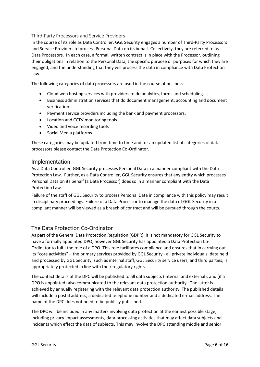#### <span id="page-5-0"></span>Third-Party Processors and Service Providers

In the course of its role as Data Controller, GGL Security engages a number of Third-Party Processors and Service Providers to process Personal Data on its behalf. Collectively, they are referred to as Data Processors. In each case, a formal, written contract is in place with the Processor, outlining their obligations in relation to the Personal Data, the specific purpose or purposes for which they are engaged, and the understanding that they will process the data in compliance with Data Protection Law.

<span id="page-5-1"></span>The following categories of data processors are used in the course of business:

- Cloud web hosting services with providers to do analytics, forms and scheduling.
- Business administration services that do document management, accounting and document verification.
- Payment service providers including the bank and payment processors.
- Location and CCTV monitoring tools
- Video and voice recording tools
- Social Media platforms

These categories may be updated from time to time and for an updated list of categories of data processors please contact the Data Protection Co-Ordinator.

#### Implementation

As a Data Controller, GGL Security processes Personal Data in a manner compliant with the Data Protection Law. Further, as a Data Controller, GGL Security ensures that any entity which processes Personal Data on its behalf (a Data Processor) does so in a manner compliant with the Data Protection Law.

Failure of the staff of GGL Security to process Personal Data in compliance with this policy may result in disciplinary proceedings. Failure of a Data Processor to manage the data of GGL Security in a compliant manner will be viewed as a breach of contract and will be pursued through the courts.

## <span id="page-5-2"></span>The Data Protection Co-Ordinator

As part of the General Data Protection Regulation (GDPR), it is not mandatory for GGL Security to have a formally appointed DPO, however GGL Security has appointed a Data Protection Co-Ordinator to fulfil the role of a DPO. This role facilitates compliance and ensures that in carrying out its "core activities" – the primary services provided by GGL Security - all private individuals' data held and processed by GGL Security, such as internal staff, GGL Security service users, and third parties, is appropriately protected in line with their regulatory rights.

The contact details of the DPC will be published to all data subjects (internal and external), and (if a DPO is appointed) also communicated to the relevant data protection authority. The latter is achieved by annually registering with the relevant data protection authority. The published details will include a postal address, a dedicated telephone number and a dedicated e-mail address. The name of the DPC does not need to be publicly published.

The DPC will be included in any matters involving data protection at the earliest possible stage, including privacy impact assessments, data processing activities that may affect data subjects and incidents which effect the data of subjects. This may involve the DPC attending middle and senior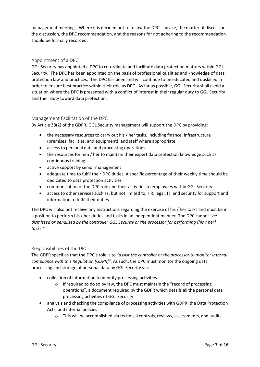management meetings. Where it is decided not to follow the DPC's advice, the matter of discussion, the discussion, the DPC recommendation, and the reasons for not adhering to the recommendation should be formally recorded.

#### <span id="page-6-0"></span>Appointment of a DPC

GGL Security has appointed a DPC to co-ordinate and facilitate data protection matters within GGL Security. The DPC has been appointed on the basis of professional qualities and knowledge of data protection law and practices. The DPC has been and will continue to be educated and upskilled in order to ensure best practice within their role as DPC. As far as possible, GGL Security shall avoid a situation where the DPC is presented with a conflict of interest in their regular duty to GGL Security and their duty toward data protection.

#### <span id="page-6-1"></span>Management Facilitation of the DPC

By Article 38(2) of the GDPR, GGL Security management will support the DPC by providing:

- the necessary resources to carry out his / her tasks, including finance, infrastructure (premises, facilities, and equipment), and staff where appropriate
- access to personal data and processing operations
- the resources for him / her to maintain their expert data protection knowledge such as continuous training
- active support by senior management
- adequate time to fulfil their DPC duties. A specific percentage of their weekly time should be dedicated to data protection activities
- communication of the DPC role and their activities to employees within GGL Security
- access to other services such as, but not limited to, HR, legal, IT, and security for support and information to fulfil their duties

The DPC will also not receive any instructions regarding the exercise of his / her tasks and must be in a position to perform his / her duties and tasks in an independent manner. The DPC cannot *"be dismissed or penalised by the controller GGL Security or the processor for performing [his / her] tasks."*

#### <span id="page-6-2"></span>Responsibilities of the DPC

The GDPR specifies that the DPC's role is to *"assist the controller or the processor to monitor internal compliance with this Regulation [GDPR]".* As such, the DPC must monitor the ongoing data processing and storage of personal data by GGL Security via:

- collection of information to identify processing activities
	- $\circ$  If required to do so by law, the DPC must maintain the "record of processing operations", a document required by the GDPR which details all the personal data processing activities of GGL Security
- analysis and checking the compliance of processing activities with GDPR, the Data Protection Acts, and internal policies
	- $\circ$  This will be accomplished via technical controls, reviews, assessments, and audits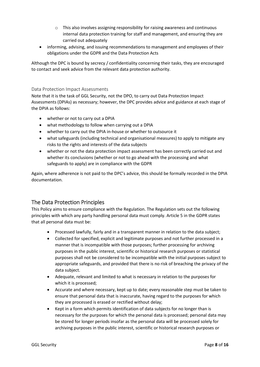- $\circ$  This also involves assigning responsibility for raising awareness and continuous internal data protection training for staff and management, and ensuring they are carried out adequately
- informing, advising, and issuing recommendations to management and employees of their obligations under the GDPR and the Data Protection Acts

Although the DPC is bound by secrecy / confidentiality concerning their tasks, they are encouraged to contact and seek advice from the relevant data protection authority.

#### <span id="page-7-0"></span>Data Protection Impact Assessments

Note that it is the task of GGL Security, not the DPO, to carry out Data Protection Impact Assessments (DPIAs) as necessary; however, the DPC provides advice and guidance at each stage of the DPIA as follows:

- whether or not to carry out a DPIA
- what methodology to follow when carrying out a DPIA
- whether to carry out the DPIA in-house or whether to outsource it
- what safeguards (including technical and organisational measures) to apply to mitigate any risks to the rights and interests of the data subjects
- whether or not the data protection impact assessment has been correctly carried out and whether its conclusions (whether or not to go ahead with the processing and what safeguards to apply) are in compliance with the GDPR

Again, where adherence is not paid to the DPC's advice, this should be formally recorded in the DPIA documentation.

## <span id="page-7-1"></span>The Data Protection Principles

This Policy aims to ensure compliance with the Regulation. The Regulation sets out the following principles with which any party handling personal data must comply. Article 5 in the GDPR states that all personal data must be:

- Processed lawfully, fairly and in a transparent manner in relation to the data subject;
- Collected for specified, explicit and legitimate purposes and not further processed in a manner that is incompatible with those purposes; further processing for archiving purposes in the public interest, scientific or historical research purposes or statistical purposes shall not be considered to be incompatible with the initial purposes subject to appropriate safeguards, and provided that there is no risk of breaching the privacy of the data subject.
- Adequate, relevant and limited to what is necessary in relation to the purposes for which it is processed;
- Accurate and where necessary, kept up to date; every reasonable step must be taken to ensure that personal data that is inaccurate, having regard to the purposes for which they are processed is erased or rectified without delay;
- Kept in a form which permits identification of data subjects for no longer than is necessary for the purposes for which the personal data is processed; personal data may be stored for longer periods insofar as the personal data will be processed solely for archiving purposes in the public interest, scientific or historical research purposes or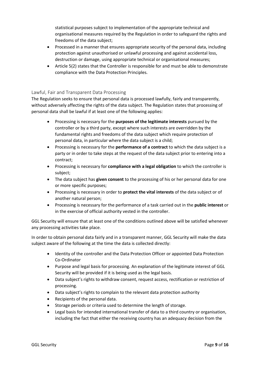statistical purposes subject to implementation of the appropriate technical and organisational measures required by the Regulation in order to safeguard the rights and freedoms of the data subject;

- Processed in a manner that ensures appropriate security of the personal data, including protection against unauthorised or unlawful processing and against accidental loss, destruction or damage, using appropriate technical or organisational measures;
- Article 5(2) states that the Controller is responsible for and must be able to demonstrate compliance with the Data Protection Principles.

#### <span id="page-8-0"></span>Lawful, Fair and Transparent Data Processing

The Regulation seeks to ensure that personal data is processed lawfully, fairly and transparently, without adversely affecting the rights of the data subject. The Regulation states that processing of personal data shall be lawful if at least one of the following applies:

- Processing is necessary for the **purposes of the legitimate interests** pursued by the controller or by a third party, except where such interests are overridden by the fundamental rights and freedoms of the data subject which require protection of personal data, in particular where the data subject is a child;
- Processing is necessary for the **performance of a contract** to which the data subject is a party or in order to take steps at the request of the data subject prior to entering into a contract;
- Processing is necessary for **compliance with a legal obligation** to which the controller is subject;
- The data subject has **given consent** to the processing of his or her personal data for one or more specific purposes;
- Processing is necessary in order to **protect the vital interests** of the data subject or of another natural person;
- Processing is necessary for the performance of a task carried out in the **public interest** or in the exercise of official authority vested in the controller.

GGL Security will ensure that at least one of the conditions outlined above will be satisfied whenever any processing activities take place.

In order to obtain personal data fairly and in a transparent manner, GGL Security will make the data subject aware of the following at the time the data is collected directly:

- Identity of the controller and the Data Protection Officer or appointed Data Protection Co-Ordinator
- Purpose and legal basis for processing. An explanation of the legitimate interest of GGL Security will be provided if it is being used as the legal basis.
- Data subject's rights to withdraw consent, request access, rectification or restriction of processing.
- Data subject's rights to complain to the relevant data protection authority
- Recipients of the personal data.
- Storage periods or criteria used to determine the length of storage.
- Legal basis for intended international transfer of data to a third country or organisation, including the fact that either the receiving country has an adequacy decision from the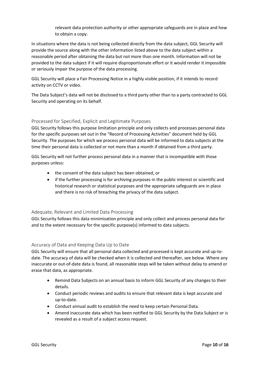relevant data protection authority or other appropriate safeguards are in place and how to obtain a copy.

In situations where the data is not being collected directly from the data subject, GGL Security will provide the source along with the other information listed above to the data subject within a reasonable period after obtaining the data but not more than one month. Information will not be provided to the data subject if it will require disproportionate effort or it would render it impossible or seriously impair the purpose of the data processing.

GGL Security will place a Fair Processing Notice in a highly visible position, if it intends to record activity on CCTV or video.

The Data Subject's data will not be disclosed to a third party other than to a party contracted to GGL Security and operating on its behalf.

#### <span id="page-9-0"></span>Processed for Specified, Explicit and Legitimate Purposes

GGL Security follows this purpose limitation principle and only collects and processes personal data for the specific purposes set out in the "Record of Processing Activities" document held by GGL Security. The purposes for which we process personal data will be informed to data subjects at the time their personal data is collected or not more than a month if obtained from a third party.

GGL Security will not further process personal data in a manner that is incompatible with those purposes unless:

- the consent of the data subject has been obtained, or
- if the further processing is for archiving purposes in the public interest or scientific and historical research or statistical purposes and the appropriate safeguards are in place and there is no risk of breaching the privacy of the data subject.

#### <span id="page-9-1"></span>Adequate, Relevant and Limited Data Processing

GGL Security follows this data minimisation principle and only collect and process personal data for and to the extent necessary for the specific purpose(s) informed to data subjects.

#### <span id="page-9-2"></span>Accuracy of Data and Keeping Data Up to Date

GGL Security will ensure that all personal data collected and processed is kept accurate and up-todate. The accuracy of data will be checked when it is collected and thereafter, see below. Where any inaccurate or out-of-date data is found, all reasonable steps will be taken without delay to amend or erase that data, as appropriate.

- Remind Data Subjects on an annual basis to inform GGL Security of any changes to their details.
- Conduct periodic reviews and audits to ensure that relevant data is kept accurate and up-to-date.
- Conduct annual audit to establish the need to keep certain Personal Data.
- Amend inaccurate data which has been notified to GGL Security by the Data Subject or is revealed as a result of a subject access request.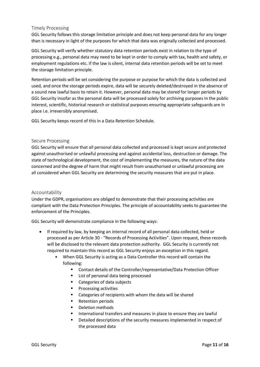#### <span id="page-10-0"></span>Timely Processing

GGL Security follows this storage limitation principle and does not keep personal data for any longer than is necessary in light of the purposes for which that data was originally collected and processed.

GGL Security will verify whether statutory data retention periods exist in relation to the type of processing e.g., personal data may need to be kept in order to comply with tax, health and safety, or employment regulations etc. If the law is silent, internal data retention periods will be set to meet the storage limitation principle.

Retention periods will be set considering the purpose or purpose for which the data is collected and used, and once the storage periods expire, data will be securely deleted/destroyed in the absence of a sound new lawful basis to retain it. However, personal data may be stored for longer periods by GGL Security insofar as the personal data will be processed solely for archiving purposes in the public interest, scientific, historical research or statistical purposes ensuring appropriate safeguards are in place i.e. irreversibly anonymised.

GGL Security keeps record of this in a Data Retention Schedule.

#### <span id="page-10-1"></span>Secure Processing

GGL Security will ensure that all personal data collected and processed is kept secure and protected against unauthorised or unlawful processing and against accidental loss, destruction or damage. The state of technological development, the cost of implementing the measures, the nature of the data concerned and the degree of harm that might result from unauthorised or unlawful processing are all considered when GGL Security are determining the security measures that are put in place.

#### <span id="page-10-2"></span>Accountability

Under the GDPR, organisations are obliged to demonstrate that their processing activities are compliant with the Data Protection Principles. The principle of accountability seeks to guarantee the enforcement of the Principles.

GGL Security will demonstrate compliance in the following ways:

- If required by law, by keeping an internal record of all personal data collected, held or processed as per Article 30 - "Records of Processing Activities". Upon request, these records will be disclosed to the relevant data protection authority. GGL Security is currently not required to maintain this record as GGL Security enjoys an exception in this regard.
	- When GGL Security is acting as a Data Controller this record will contain the following:
		- Contact details of the Controller/representative/Data Protection Officer
		- List of personal data being processed
		- Categories of data subjects
		- Processing activities
		- Categories of recipients with whom the data will be shared
		- **Retention periods**
		- Deletion methods
		- International transfers and measures in place to ensure they are lawful
		- Detailed descriptions of the security measures implemented in respect of the processed data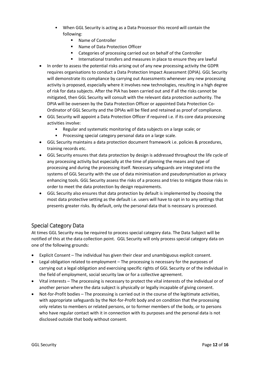- When GGL Security is acting as a Data Processor this record will contain the following:
	- Name of Controller
	- Name of Data Protection Officer
	- Categories of processing carried out on behalf of the Controller
	- International transfers and measures in place to ensure they are lawful
- In order to assess the potential risks arising out of any new processing activity the GDPR requires organisations to conduct a Data Protection Impact Assessment (DPIA). GGL Security will demonstrate its compliance by carrying out Assessments whenever any new processing activity is proposed, especially where it involves new technologies, resulting in a high degree of risk for data subjects. After the PIA has been carried out and if all the risks cannot be mitigated, then GGL Security will consult with the relevant data protection authority. The DPIA will be overseen by the Data Protection Officer or appointed Data Protection Co-Ordinator of GGL Security and the DPIAs will be filed and retained as proof of compliance.
- GGL Security will appoint a Data Protection Officer if required i.e. if its core data processing activities involve:
	- Regular and systematic monitoring of data subjects on a large scale; or
	- Processing special category personal data on a large scale.
- GGL Security maintains a data protection document framework i.e. policies & procedures, training records etc.
- GGL Security ensures that data protection by design is addressed throughout the life cycle of any processing activity but especially at the time of planning the means and type of processing and during the processing itself. Necessary safeguards are integrated into the systems of GGL Security with the use of data minimisation and pseudonymisation as privacy enhancing tools. GGL Security assess the risks of a process and tries to mitigate those risks in order to meet the data protection by design requirements.
- GGL Security also ensures that data protection by default is implemented by choosing the most data protective setting as the default i.e. users will have to opt in to any settings that presents greater risks. By default, only the personal data that is necessary is processed.

## <span id="page-11-0"></span>Special Category Data

At times GGL Security may be required to process special category data. The Data Subject will be notified of this at the data collection point. GGL Security will only process special category data on one of the following grounds:

- Explicit Consent The individual has given their clear and unambiguous explicit consent.
- Legal obligation related to employment The processing is necessary for the purposes of carrying out a legal obligation and exercising specific rights of GGL Security or of the individual in the field of employment, social security law or for a collective agreement.
- Vital interests The processing is necessary to protect the vital interests of the individual or of another person where the data subject is physically or legally incapable of giving consent.
- Not-for-Profit bodies The processing is carried out in the course of the legitimate activities, with appropriate safeguards by the Not-for-Profit body and on condition that the processing only relates to members or related persons, or to former members of the body, or to persons who have regular contact with it in connection with its purposes and the personal data is not disclosed outside that body without consent.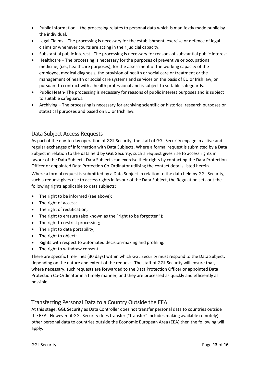- Public Information the processing relates to personal data which is manifestly made public by the individual.
- Legal Claims The processing is necessary for the establishment, exercise or defence of legal claims or whenever courts are acting in their judicial capacity.
- Substantial public interest The processing is necessary for reasons of substantial public interest.
- Healthcare The processing is necessary for the purposes of preventive or occupational medicine, (i.e., healthcare purposes), for the assessment of the working capacity of the employee, medical diagnosis, the provision of health or social care or treatment or the management of health or social care systems and services on the basis of EU or Irish law, or pursuant to contract with a health professional and is subject to suitable safeguards.
- Public Heath- The processing is necessary for reasons of public interest purposes and is subject to suitable safeguards.
- Archiving The processing is necessary for archiving scientific or historical research purposes or statistical purposes and based on EU or Irish law.

## <span id="page-12-0"></span>Data Subject Access Requests

As part of the day-to-day operation of GGL Security, the staff of GGL Security engage in active and regular exchanges of information with Data Subjects. Where a formal request is submitted by a Data Subject in relation to the data held by GGL Security, such a request gives rise to access rights in favour of the Data Subject. Data Subjects can exercise their rights by contacting the Data Protection Officer or appointed Data Protection Co-Ordinator utilising the contact details listed herein.

Where a formal request is submitted by a Data Subject in relation to the data held by GGL Security, such a request gives rise to access rights in favour of the Data Subject, the Regulation sets out the following rights applicable to data subjects:

- The right to be informed (see above);
- The right of access;
- The right of rectification;
- The right to erasure (also known as the "right to be forgotten");
- The right to restrict processing;
- The right to data portability;
- The right to object;
- Rights with respect to automated decision-making and profiling.
- The right to withdraw consent

There are specific time-lines (30 days) within which GGL Security must respond to the Data Subject, depending on the nature and extent of the request. The staff of GGL Security will ensure that, where necessary, such requests are forwarded to the Data Protection Officer or appointed Data Protection Co-Ordinator in a timely manner, and they are processed as quickly and efficiently as possible.

## <span id="page-12-1"></span>Transferring Personal Data to a Country Outside the EEA

At this stage, GGL Security as Data Controller does not transfer personal data to countries outside the EEA. However, if GGL Security does transfer ("transfer" includes making available remotely) other personal data to countries outside the Economic European Area (EEA) then the following will apply.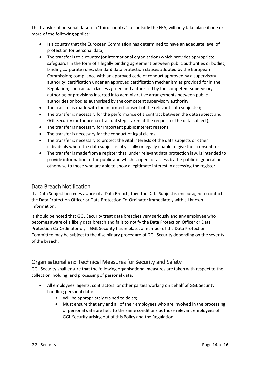The transfer of personal data to a "third country" i.e. outside the EEA, will only take place if one or more of the following applies:

- Is a country that the European Commission has determined to have an adequate level of protection for personal data;
- The transfer is to a country (or international organisation) which provides appropriate safeguards in the form of a legally binding agreement between public authorities or bodies; binding corporate rules; standard data protection clauses adopted by the European Commission; compliance with an approved code of conduct approved by a supervisory authority; certification under an approved certification mechanism as provided for in the Regulation; contractual clauses agreed and authorised by the competent supervisory authority; or provisions inserted into administrative arrangements between public authorities or bodies authorised by the competent supervisory authority;
- The transfer is made with the informed consent of the relevant data subject(s);
- The transfer is necessary for the performance of a contract between the data subject and GGL Security (or for pre-contractual steps taken at the request of the data subject);
- The transfer is necessary for important public interest reasons;
- The transfer is necessary for the conduct of legal claims;
- The transfer is necessary to protect the vital interests of the data subjects or other individuals where the data subject is physically or legally unable to give their consent; or
- The transfer is made from a register that, under relevant data protection law, is intended to provide information to the public and which is open for access by the public in general or otherwise to those who are able to show a legitimate interest in accessing the register.

## <span id="page-13-0"></span>Data Breach Notification

If a Data Subject becomes aware of a Data Breach, then the Data Subject is encouraged to contact the Data Protection Officer or Data Protection Co-Ordinator immediately with all known information.

It should be noted that GGL Security treat data breaches very seriously and any employee who becomes aware of a likely data breach and fails to notify the Data Protection Officer or Data Protection Co-Ordinator or, if GGL Security has in place, a member of the Data Protection Committee may be subject to the disciplinary procedure of GGL Security depending on the severity of the breach.

# <span id="page-13-1"></span>Organisational and Technical Measures for Security and Safety

GGL Security shall ensure that the following organisational measures are taken with respect to the collection, holding, and processing of personal data:

- All employees, agents, contractors, or other parties working on behalf of GGL Security handling personal data:
	- Will be appropriately trained to do so;
	- Must ensure that any and all of their employees who are involved in the processing of personal data are held to the same conditions as those relevant employees of GGL Security arising out of this Policy and the Regulation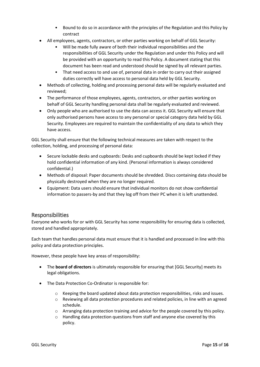- Bound to do so in accordance with the principles of the Regulation and this Policy by contract
- All employees, agents, contractors, or other parties working on behalf of GGL Security:
	- Will be made fully aware of both their individual responsibilities and the responsibilities of GGL Security under the Regulation and under this Policy and will be provided with an opportunity to read this Policy. A document stating that this document has been read and understood should be signed by all relevant parties.
	- That need access to and use of, personal data in order to carry out their assigned duties correctly will have access to personal data held by GGL Security.
- Methods of collecting, holding and processing personal data will be regularly evaluated and reviewed;
- The performance of those employees, agents, contractors, or other parties working on behalf of GGL Security handling personal data shall be regularly evaluated and reviewed.
- Only people who are authorised to use the data can access it. GGL Security will ensure that only authorised persons have access to any personal or special category data held by GGL Security. Employees are required to maintain the confidentiality of any data to which they have access.

GGL Security shall ensure that the following technical measures are taken with respect to the collection, holding, and processing of personal data:

- Secure lockable desks and cupboards: Desks and cupboards should be kept locked if they hold confidential information of any kind. (Personal information is always considered confidential.)
- Methods of disposal: Paper documents should be shredded. Discs containing data should be physically destroyed when they are no longer required.
- Equipment: Data users should ensure that individual monitors do not show confidential information to passers-by and that they log off from their PC when it is left unattended.

## <span id="page-14-0"></span>Responsibilities

Everyone who works for or with GGL Security has some responsibility for ensuring data is collected, stored and handled appropriately.

Each team that handles personal data must ensure that it is handled and processed in line with this policy and data protection principles.

However, these people have key areas of responsibility:

- The **board of directors** is ultimately responsible for ensuring that [GGL Security] meets its legal obligations.
- The Data Protection Co-Ordinator is responsible for:
	- $\circ$  Keeping the board updated about data protection responsibilities, risks and issues.
	- o Reviewing all data protection procedures and related policies, in line with an agreed schedule.
	- o Arranging data protection training and advice for the people covered by this policy.
	- o Handling data protection questions from staff and anyone else covered by this policy.